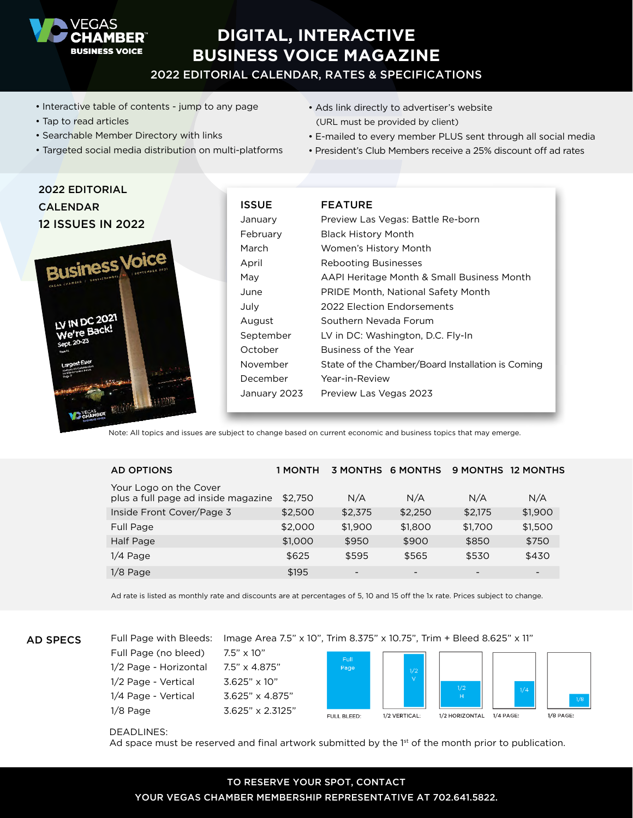

# **DIGITAL, INTERACTIVE BUSINESS VOICE MAGAZINE**

# 2022 EDITORIAL CALENDAR, RATES & SPECIFICATIONS

- Interactive table of contents jump to any page
- Tap to read articles

2022 EDITORIAL

- Searchable Member Directory with links
- Targeted social media distribution on multi-platforms
- Ads link directly to advertiser's website (URL must be provided by client)
- E-mailed to every member PLUS sent through all social media
- President's Club Members receive a 25% discount off ad rates

| ZUZZ EDITURIAL                                                     |              |                                                   |
|--------------------------------------------------------------------|--------------|---------------------------------------------------|
| <b>CALENDAR</b>                                                    | <b>ISSUE</b> | <b>FEATURE</b>                                    |
| <b>12 ISSUES IN 2022</b><br><b>Business Voice</b><br>LV IN DC 2021 | January      | Preview Las Vegas: Battle Re-born                 |
|                                                                    | February     | <b>Black History Month</b>                        |
|                                                                    | March        | Women's History Month                             |
|                                                                    | April        | <b>Rebooting Businesses</b>                       |
|                                                                    | May          | AAPI Heritage Month & Small Business Month        |
|                                                                    | June         | PRIDE Month, National Safety Month                |
|                                                                    | July         | 2022 Election Endorsements                        |
|                                                                    | August       | Southern Nevada Forum                             |
| We're Back!                                                        | September    | LV in DC: Washington, D.C. Fly-In                 |
|                                                                    | October      | Business of the Year                              |
|                                                                    | November     | State of the Chamber/Board Installation is Coming |
|                                                                    | December     | Year-in-Review                                    |
|                                                                    | January 2023 | Preview Las Vegas 2023                            |

Note: All topics and issues are subject to change based on current economic and business topics that may emerge.

| <b>AD OPTIONS</b>                                             | 1 MONTH | <b>3 MONTHS</b> | <b>6 MONTHS</b>          |         | 9 MONTHS 12 MONTHS |
|---------------------------------------------------------------|---------|-----------------|--------------------------|---------|--------------------|
| Your Logo on the Cover<br>plus a full page ad inside magazine | \$2.750 | N/A             | N/A                      | N/A     | N/A                |
| Inside Front Cover/Page 3                                     | \$2,500 | \$2,375         | \$2,250                  | \$2,175 | \$1,900            |
| Full Page                                                     | \$2,000 | \$1,900         | \$1,800                  | \$1,700 | \$1,500            |
| Half Page                                                     | \$1,000 | \$950           | \$900                    | \$850   | \$750              |
| $1/4$ Page                                                    | \$625   | \$595           | \$565                    | \$530   | \$430              |
| $1/8$ Page                                                    | \$195   |                 | $\overline{\phantom{0}}$ | -       |                    |

Ad rate is listed as monthly rate and discounts are at percentages of 5, 10 and 15 off the 1x rate. Prices subject to change.

AD SPECS

Full Page (no bleed) 7.5" x 10" 1/2 Page - Horizontal 7.5" x 4.875" 1/2 Page - Vertical 3.625" x 10" 1/4 Page - Vertical 3.625" x 4.875" 1/8 Page 3.625" x 2.3125"



#### DEADLINES:

Ad space must be reserved and final artwork submitted by the  $1<sup>st</sup>$  of the month prior to publication.

## TO RESERVE YOUR SPOT, CONTACT YOUR VEGAS CHAMBER MEMBERSHIP REPRESENTATIVE AT 702.641.5822.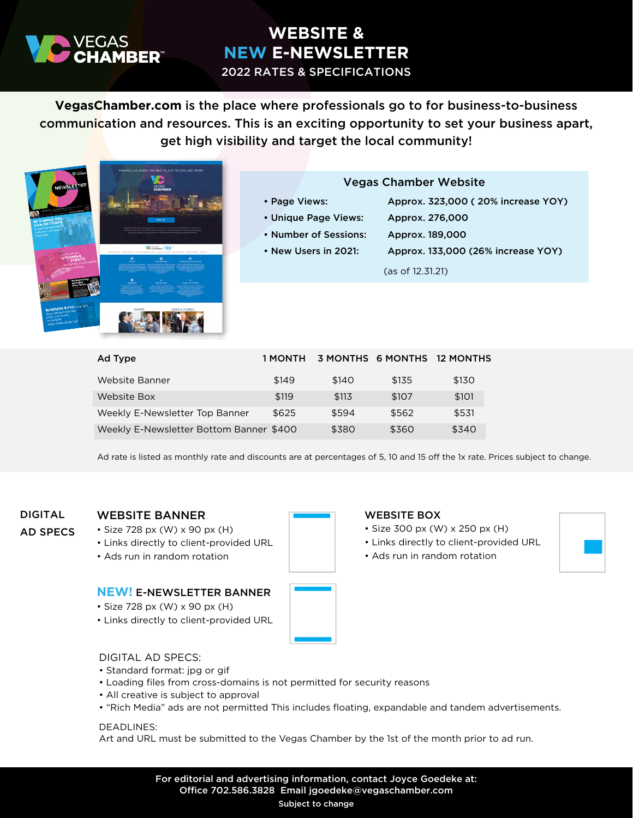

# **WEBSITE & NEW E-NEWSLETTER**

2022 RATES & SPECIFICATIONS

**VegasChamber.com** is the place where professionals go to for business-to-business communication and resources. This is an exciting opportunity to set your business apart, get high visibility and target the local community!



# Vegas Chamber Website

- Page Views: Approx. 323,000 ( 20% increase YOY)
- Unique Page Views: Approx. 276,000
	-
- 
- 
- Number of Sessions: Approx. 189,000
- New Users in 2021: Approx. 133,000 (26% increase YOY)
	- (as of 12.31.21)

| Ad Type                                 | 1 MONTH | 3 MONTHS 6 MONTHS |       | <b>12 MONTHS</b> |
|-----------------------------------------|---------|-------------------|-------|------------------|
| Website Banner                          | \$149   | \$140             | \$135 | \$130            |
| Website Box                             | \$119   | \$113             | \$107 | \$101            |
| Weekly E-Newsletter Top Banner          | \$625   | \$594             | \$562 | \$531            |
| Weekly E-Newsletter Bottom Banner \$400 |         | \$380             | \$360 | \$340            |

Ad rate is listed as monthly rate and discounts are at percentages of 5, 10 and 15 off the 1x rate. Prices subject to change.

# DIGITAL AD SPECS

## WEBSITE BANNER

- Size 728 px (W) x 90 px (H)
- Links directly to client-provided URL
- Ads run in random rotation

## **NEW!** E-NEWSLETTER BANNER

- Size 728 px (W) x 90 px (H)
- Links directly to client-provided URL



# WEBSITE BOX

- Size 300 px (W) x 250 px (H)
- Links directly to client-provided URL
- Ads run in random rotation



DIGITAL AD SPECS:

- Standard format: jpg or gif
- Loading files from cross-domains is not permitted for security reasons
- All creative is subject to approval
- "Rich Media" ads are not permitted This includes floating, expandable and tandem advertisements.

#### DEADLINES:

Art and URL must be submitted to the Vegas Chamber by the 1st of the month prior to ad run.

For editorial and advertising information, contact Joyce Goedeke at: Office 702.586.3828 Email jgoedeke@vegaschamber.com

#### Subject to change